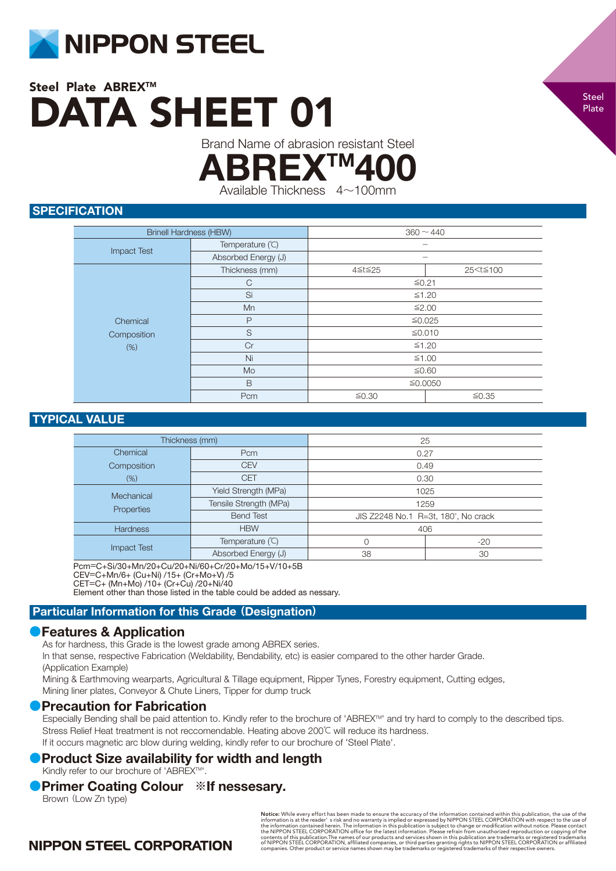

Brand Name of abrasion resistant Steel

**ABREXTM** 

Available Thickness 4~100mm

## **SPECIFICATION**

| <b>Brinell Hardness (HBW)</b> |                     | $360 \sim 440$ |                            |
|-------------------------------|---------------------|----------------|----------------------------|
|                               | Temperature (°C)    |                |                            |
| <b>Impact Test</b>            | Absorbed Energy (J) |                |                            |
|                               | Thickness (mm)      | 4≦t≦25         | 25 <t≦100< th=""></t≦100<> |
|                               | $\mathsf{C}$        | $≤0.21$        |                            |
|                               | Si                  | ≤1.20          |                            |
|                               | Mn                  | ≤2.00          |                            |
| Chemical                      | $\mathsf{P}$        | ≤0.025         |                            |
| Composition                   | S                   | ≤0.010         |                            |
| (%)                           | Cr                  | $≤1.20$        |                            |
|                               | Ni                  | $≤1.00$        |                            |
|                               | Mo                  | ≤0.60          |                            |
|                               | B                   | ≤0.0050        |                            |
|                               | Pcm                 | ≤0.30<br>≤0.35 |                            |

## TYPICAL VALUE

| Thickness (mm)           |                        | 25                                  |       |
|--------------------------|------------------------|-------------------------------------|-------|
| Chemical                 | Pcm                    | 0.27                                |       |
| Composition              | <b>CEV</b>             | 0.49                                |       |
| (% )                     | <b>CET</b>             | 0.30                                |       |
| Mechanical<br>Properties | Yield Strength (MPa)   | 1025                                |       |
|                          | Tensile Strength (MPa) | 1259                                |       |
|                          | <b>Bend Test</b>       | JIS Z2248 No.1 R=3t, 180°, No crack |       |
| <b>Hardness</b>          | <b>HBW</b>             | 406                                 |       |
| <b>Impact Test</b>       | Temperature (°C)       | $\Omega$                            | $-20$ |
|                          | Absorbed Energy (J)    | 38                                  | 30    |

Pcm=C+Si/30+Mn/20+Cu/20+Ni/60+Cr/20+Mo/15+V/10+5B CEV=C+Mn/6+ (Cu+Ni) /15+ (Cr+Mo+V) /5 CET=C+ (Mn+Mo) /10+ (Cr+Cu) /20+Ni/40

Element other than those listed in the table could be added as nessary.

## Particular Information for this Grade **(**Designation**)**

## **●**Features & Application

As for hardness, this Grade is the lowest grade among ABREX series.

In that sense, respective Fabrication (Weldability, Bendability, etc) is easier compared to the other harder Grade. (Application Example)

Mining & Earthmoving wearparts, Agricultural & Tillage equipment, Ripper Tynes, Forestry equipment, Cutting edges, Mining liner plates, Conveyor & Chute Liners, Tipper for dump truck

#### **●**Precaution for Fabrication

Especially Bending shall be paid attention to. Kindly refer to the brochure of 'ABREX™' and try hard to comply to the described tips. Stress Relief Heat treatment is not reccomendable. Heating above 200℃ will reduce its hardness. If it occurs magnetic arc blow during welding, kindly refer to our brochure of 'Steel Plate'.

## **Product Size availability for width and length**

Kindly refer to our brochure of 'ABREX™'.

## **●**Primer Coating Colour **※**If nessesary.

Brown (Low Zn type)

**Notice:** While every effort has been made to ensure the accuracy of the information contained within this publication, the use of the original information is at the reader' s risk and no warranty is implied or expressed b

## **NIPPON STEEL CORPORATION**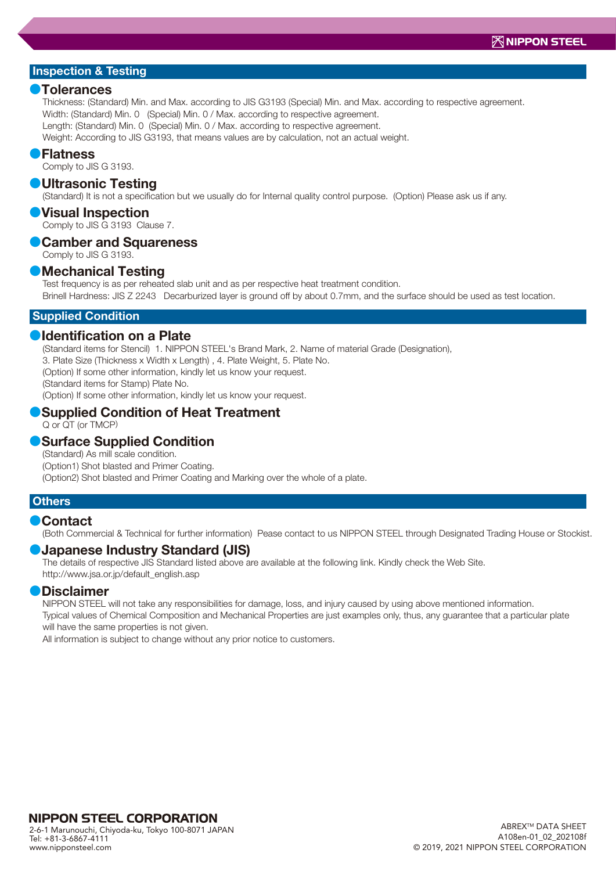#### **●**Tolerances

Thickness: (Standard) Min. and Max. according to JIS G3193 (Special) Min. and Max. according to respective agreement. Width: (Standard) Min. 0 (Special) Min. 0 / Max. according to respective agreement. Length: (Standard) Min. 0 (Special) Min. 0 / Max. according to respective agreement. Weight: According to JIS G3193, that means values are by calculation, not an actual weight.

#### **●**Flatness

Comply to JIS G 3193.

#### **●**Ultrasonic Testing

(Standard) It is not a specification but we usually do for Internal quality control purpose. (Option) Please ask us if any.

#### **●**Visual Inspection

Comply to JIS G 3193 Clause 7.

## **●**Camber and Squareness

Comply to JIS G 3193.

#### **●**Mechanical Testing

Test frequency is as per reheated slab unit and as per respective heat treatment condition. Brinell Hardness: JIS Z 2243 Decarburized layer is ground off by about 0.7mm, and the surface should be used as test location.

#### Supplied Condition

#### **●**Identification on a Plate

(Standard items for Stencil) 1. NIPPON STEEL's Brand Mark, 2. Name of material Grade (Designation),

3. Plate Size (Thickness x Width x Length) , 4. Plate Weight, 5. Plate No.

(Option) If some other information, kindly let us know your request.

(Standard items for Stamp) Plate No.

(Option) If some other information, kindly let us know your request.

### **●**Supplied Condition of Heat Treatment

Q or QT (or TMCP)

## **●**Surface Supplied Condition

(Standard) As mill scale condition. (Option1) Shot blasted and Primer Coating. (Option2) Shot blasted and Primer Coating and Marking over the whole of a plate.

#### **Others**

#### **●**Contact

(Both Commercial & Technical for further information) Pease contact to us NIPPON STEEL through Designated Trading House or Stockist.

#### **●**Japanese Industry Standard (JIS)

http://www.jsa.or.jp/default\_english.asp

The details of respective JIS Standard listed above are available at the following link. Kindly check the Web Site.

#### **●**Disclaimer

NIPPON STEEL will not take any responsibilities for damage, loss, and injury caused by using above mentioned information. Typical values of Chemical Composition and Mechanical Properties are just examples only, thus, any guarantee that a particular plate

will have the same properties is not given.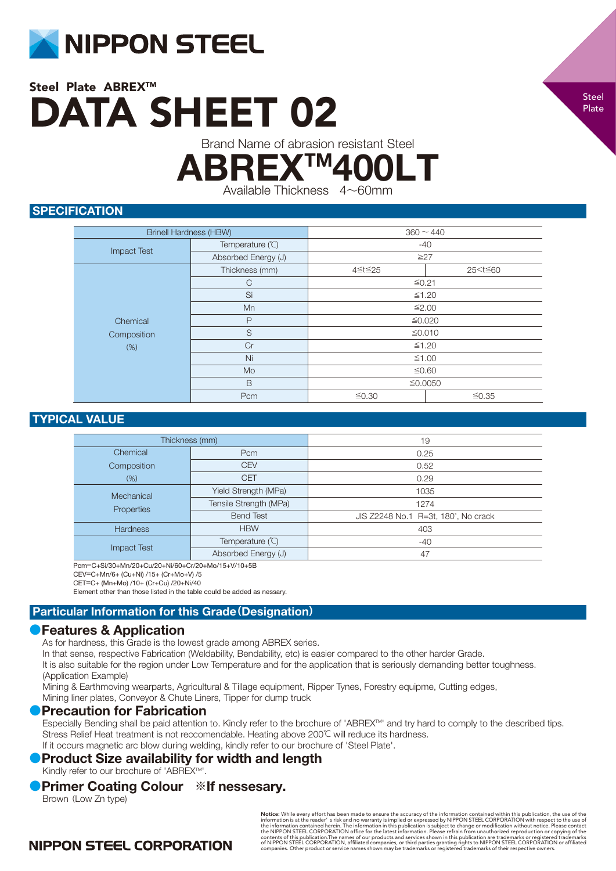

Brand Name of abrasion resistant Steel

**ABREX™4** 

Available Thickness 4~60mm

## **SPECIFICATION**

| <b>Brinell Hardness (HBW)</b> |                     | $360 \sim 440$ |                          |
|-------------------------------|---------------------|----------------|--------------------------|
|                               | Temperature (°C)    | $-40$          |                          |
| <b>Impact Test</b>            | Absorbed Energy (J) | $\geq$ 27      |                          |
|                               | Thickness (mm)      | 4≦t≦25         | 25 <t≦60< th=""></t≦60<> |
| Chemical                      | $\mathsf{C}$        | $≤0.21$        |                          |
|                               | Si                  | $≤1.20$        |                          |
|                               | Mn                  | ≤2.00          |                          |
|                               | P                   | ≤0.020         |                          |
| Composition                   | S                   | ≤0.010         |                          |
| (%)                           | Cr                  | $≤1.20$        |                          |
|                               | Ni                  | ≤1.00          |                          |
|                               | Mo                  | ≤0.60          |                          |
|                               | B                   | ≦0.0050        |                          |
|                               | Pcm                 | ≤0.30<br>≤0.35 |                          |

## TYPICAL VALUE

| Thickness (mm)     |                        | 19                                  |
|--------------------|------------------------|-------------------------------------|
| Chemical           | Pcm                    | 0.25                                |
| Composition        | <b>CEV</b>             | 0.52                                |
| (% )               | <b>CET</b>             | 0.29                                |
| Mechanical         | Yield Strength (MPa)   | 1035                                |
| Properties         | Tensile Strength (MPa) | 1274                                |
|                    | <b>Bend Test</b>       | JIS Z2248 No.1 R=3t, 180°, No crack |
| <b>Hardness</b>    | <b>HBW</b>             | 403                                 |
|                    | Temperature (°C)       | $-40$                               |
| <b>Impact Test</b> | Absorbed Energy (J)    | 47                                  |

Pcm=C+Si/30+Mn/20+Cu/20+Ni/60+Cr/20+Mo/15+V/10+5B

CEV=C+Mn/6+ (Cu+Ni) /15+ (Cr+Mo+V) /5

CET=C+ (Mn+Mo) /10+ (Cr+Cu) /20+Ni/40

Element other than those listed in the table could be added as nessary.

## Particular Information for this Grade**(**Designation**)**

## **●**Features & Application

As for hardness, this Grade is the lowest grade among ABREX series.

In that sense, respective Fabrication (Weldability, Bendability, etc) is easier compared to the other harder Grade.

It is also suitable for the region under Low Temperature and for the application that is seriously demanding better toughness. (Application Example)

Mining & Earthmoving wearparts, Agricultural & Tillage equipment, Ripper Tynes, Forestry equipme, Cutting edges,

Mining liner plates, Conveyor & Chute Liners, Tipper for dump truck

## **●**Precaution for Fabrication

Especially Bending shall be paid attention to. Kindly refer to the brochure of 'ABREX™' and try hard to comply to the described tips. Stress Relief Heat treatment is not reccomendable. Heating above 200℃ will reduce its hardness. If it occurs magnetic arc blow during welding, kindly refer to our brochure of 'Steel Plate'.

## **• Product Size availability for width and length**

Kindly refer to our brochure of 'ABREX™'.

## **●**Primer Coating Colour **※**If nessesary.

Brown (Low Zn type)

**Notice:** While every effort has been made to ensure the accuracy of the information contained within this publication, the use of the information is at the reader' s risk and no warranty is implied or expressed by NIPPON

# **NIPPON STEEL CORPORATION**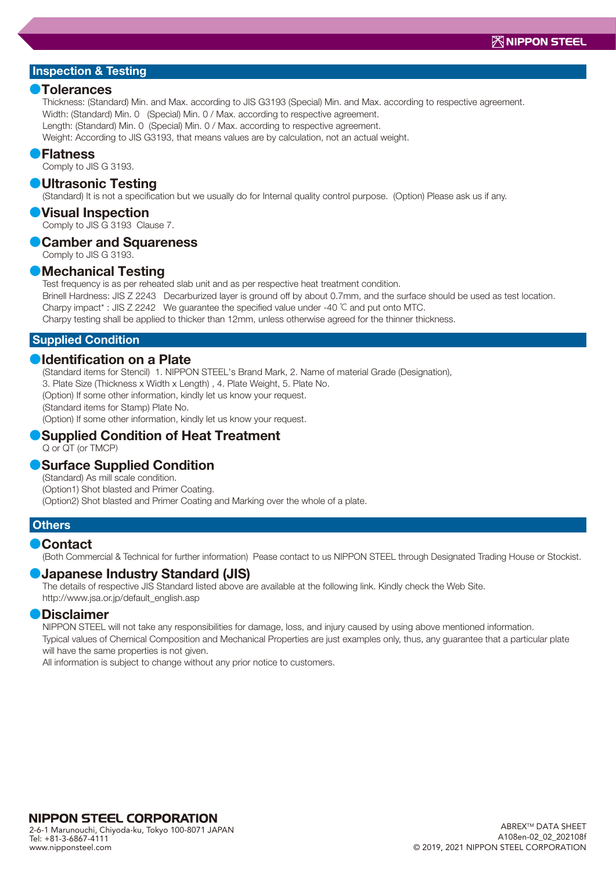#### **●**Tolerances

Thickness: (Standard) Min. and Max. according to JIS G3193 (Special) Min. and Max. according to respective agreement. Width: (Standard) Min. 0 (Special) Min. 0 / Max. according to respective agreement. Length: (Standard) Min. 0 (Special) Min. 0 / Max. according to respective agreement. Weight: According to JIS G3193, that means values are by calculation, not an actual weight.

#### **●**Flatness

Comply to JIS G 3193.

#### **●**Ultrasonic Testing

(Standard) It is not a specification but we usually do for Internal quality control purpose. (Option) Please ask us if any.

#### **●**Visual Inspection

Comply to JIS G 3193 Clause 7.

## **●**Camber and Squareness

Comply to JIS G 3193.

#### **●**Mechanical Testing

Test frequency is as per reheated slab unit and as per respective heat treatment condition.

Brinell Hardness: JIS Z 2243 Decarburized layer is ground off by about 0.7mm, and the surface should be used as test location. Charpy impact\* : JIS Z 2242 We guarantee the specified value under -40 ℃ and put onto MTC. Charpy testing shall be applied to thicker than 12mm, unless otherwise agreed for the thinner thickness.

#### Supplied Condition

### **●**Identification on a Plate

(Standard items for Stencil) 1. NIPPON STEEL's Brand Mark, 2. Name of material Grade (Designation),

3. Plate Size (Thickness x Width x Length) , 4. Plate Weight, 5. Plate No.

(Option) If some other information, kindly let us know your request.

(Standard items for Stamp) Plate No.

(Option) If some other information, kindly let us know your request.

# **●**Supplied Condition of Heat Treatment

Q or QT (or TMCP)

#### **●**Surface Supplied Condition

(Standard) As mill scale condition. (Option1) Shot blasted and Primer Coating. (Option2) Shot blasted and Primer Coating and Marking over the whole of a plate.

#### **Others**

#### **●**Contact

(Both Commercial & Technical for further information) Pease contact to us NIPPON STEEL through Designated Trading House or Stockist.

#### **●**Japanese Industry Standard (JIS)

The details of respective JIS Standard listed above are available at the following link. Kindly check the Web Site. http://www.jsa.or.jp/default\_english.asp

#### **●**Disclaimer

NIPPON STEEL will not take any responsibilities for damage, loss, and injury caused by using above mentioned information. Typical values of Chemical Composition and Mechanical Properties are just examples only, thus, any guarantee that a particular plate will have the same properties is not given.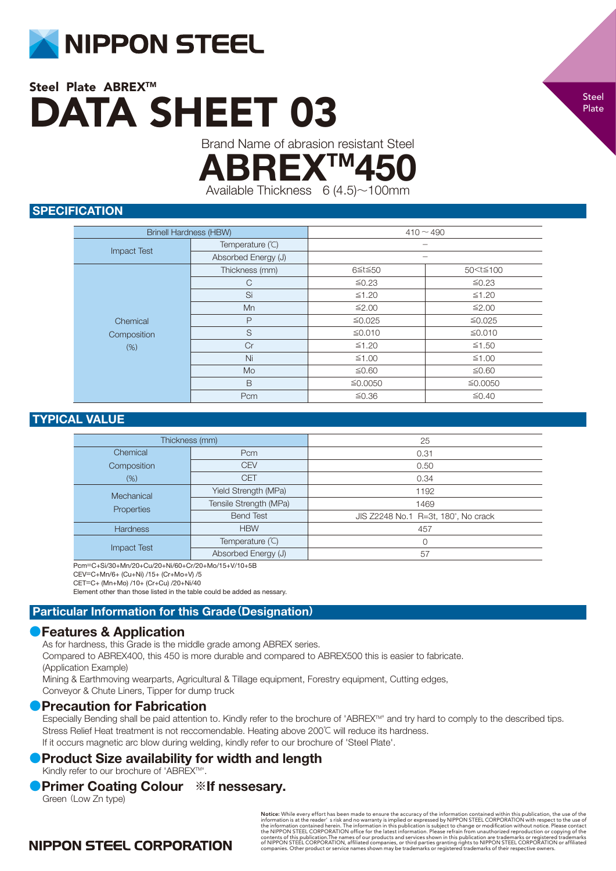

Brand Name of abrasion resistant Steel

**ABREX™4** 

Available Thickness  $6(4.5) \sim 100$ mm

## **SPECIFICATION**

| <b>Brinell Hardness (HBW)</b> |                     | $410 - 490$ |                            |
|-------------------------------|---------------------|-------------|----------------------------|
| <b>Impact Test</b>            | Temperature (°C)    |             |                            |
|                               | Absorbed Energy (J) |             |                            |
|                               | Thickness (mm)      | 6≦t≦50      | 50 <t≦100< td=""></t≦100<> |
|                               | C                   | ≤0.23       | ≤0.23                      |
|                               | Si                  | ≤1.20       | ≤1.20                      |
| Chemical<br>Composition       | Mn                  | ≤2.00       | ≤2.00                      |
|                               | P                   | ≤0.025      | ≤0.025                     |
|                               | S                   | ≤0.010      | ≤0.010                     |
| (%)                           | Cr                  | $≤1.20$     | ≤1.50                      |
|                               | Ni                  | $≤1.00$     | $≤1.00$                    |
|                               | Mo                  | ≤0.60       | ≤0.60                      |
|                               | B                   | ≤0.0050     | ≦0.0050                    |
|                               | Pcm                 | $≤0.36$     | ≤0.40                      |

## TYPICAL VALUE

| Thickness (mm)           |                        | 25                                  |
|--------------------------|------------------------|-------------------------------------|
| Chemical                 | Pcm                    | 0.31                                |
| Composition              | <b>CEV</b>             | 0.50                                |
| $(\%)$                   | <b>CET</b>             | 0.34                                |
| Mechanical<br>Properties | Yield Strength (MPa)   | 1192                                |
|                          | Tensile Strength (MPa) | 1469                                |
|                          | <b>Bend Test</b>       | JIS Z2248 No.1 R=3t, 180°, No crack |
| <b>Hardness</b>          | <b>HBW</b>             | 457                                 |
| <b>Impact Test</b>       | Temperature (°C)       | 0                                   |
|                          | Absorbed Energy (J)    | 57                                  |

Pcm=C+Si/30+Mn/20+Cu/20+Ni/60+Cr/20+Mo/15+V/10+5B

CEV=C+Mn/6+ (Cu+Ni) /15+ (Cr+Mo+V) /5

CET=C+ (Mn+Mo) /10+ (Cr+Cu) /20+Ni/40

Element other than those listed in the table could be added as nessary.

#### Particular Information for this Grade**(**Designation**)**

#### **●**Features & Application

As for hardness, this Grade is the middle grade among ABREX series.

Compared to ABREX400, this 450 is more durable and compared to ABREX500 this is easier to fabricate. (Application Example)

Mining & Earthmoving wearparts, Agricultural & Tillage equipment, Forestry equipment, Cutting edges, Conveyor & Chute Liners, Tipper for dump truck

#### **●**Precaution for Fabrication

Especially Bending shall be paid attention to. Kindly refer to the brochure of 'ABREX™' and try hard to comply to the described tips. Stress Relief Heat treatment is not reccomendable. Heating above 200℃ will reduce its hardness. If it occurs magnetic arc blow during welding, kindly refer to our brochure of 'Steel Plate'.

## **Product Size availability for width and length**

Kindly refer to our brochure of 'ABREX™'.

## **●**Primer Coating Colour **※**If nessesary.

Green (Low Zn type)

**Notice:** While every effort has been made to ensure the accuracy of the information contained within this publication, the use of the original information is at the reader' s risk and no warranty is implied or expressed b

## **NIPPON STEEL CORPORATION**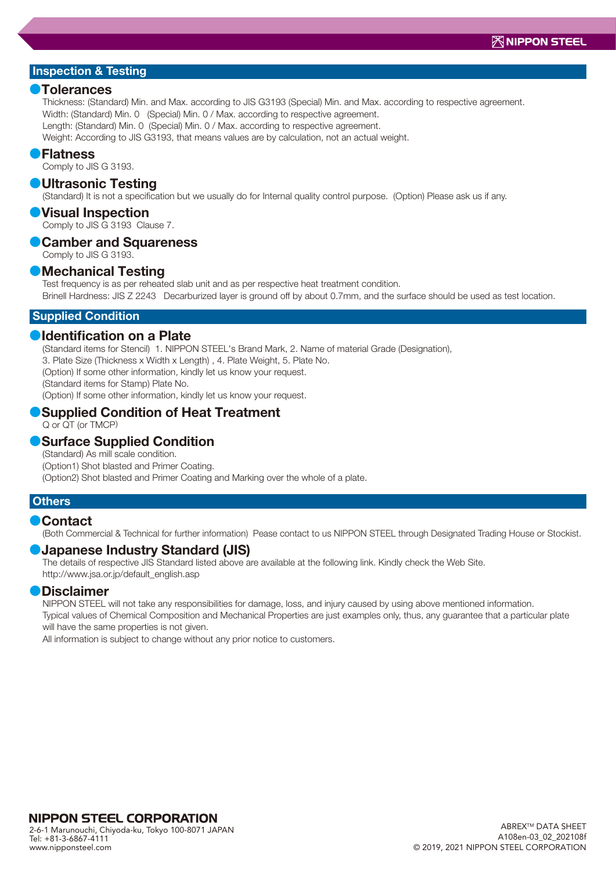#### **●**Tolerances

Thickness: (Standard) Min. and Max. according to JIS G3193 (Special) Min. and Max. according to respective agreement. Width: (Standard) Min. 0 (Special) Min. 0 / Max. according to respective agreement. Length: (Standard) Min. 0 (Special) Min. 0 / Max. according to respective agreement. Weight: According to JIS G3193, that means values are by calculation, not an actual weight.

#### **●**Flatness

Comply to JIS G 3193.

#### **●**Ultrasonic Testing

(Standard) It is not a specification but we usually do for Internal quality control purpose. (Option) Please ask us if any.

#### **●**Visual Inspection

Comply to JIS G 3193 Clause 7.

## **●**Camber and Squareness

Comply to JIS G 3193.

#### **●**Mechanical Testing

Test frequency is as per reheated slab unit and as per respective heat treatment condition. Brinell Hardness: JIS Z 2243 Decarburized layer is ground off by about 0.7mm, and the surface should be used as test location.

#### Supplied Condition

#### **●**Identification on a Plate

(Standard items for Stencil) 1. NIPPON STEEL's Brand Mark, 2. Name of material Grade (Designation),

3. Plate Size (Thickness x Width x Length) , 4. Plate Weight, 5. Plate No.

(Option) If some other information, kindly let us know your request.

(Standard items for Stamp) Plate No.

(Option) If some other information, kindly let us know your request.

## **●**Supplied Condition of Heat Treatment

Q or QT (or TMCP)

#### **●**Surface Supplied Condition

(Standard) As mill scale condition. (Option1) Shot blasted and Primer Coating. (Option2) Shot blasted and Primer Coating and Marking over the whole of a plate.

#### **Others**

#### **●**Contact

(Both Commercial & Technical for further information) Pease contact to us NIPPON STEEL through Designated Trading House or Stockist.

#### **●**Japanese Industry Standard (JIS)

The details of respective JIS Standard listed above are available at the following link. Kindly check the Web Site. http://www.jsa.or.jp/default\_english.asp

#### **●**Disclaimer

NIPPON STEEL will not take any responsibilities for damage, loss, and injury caused by using above mentioned information. Typical values of Chemical Composition and Mechanical Properties are just examples only, thus, any guarantee that a particular plate

will have the same properties is not given.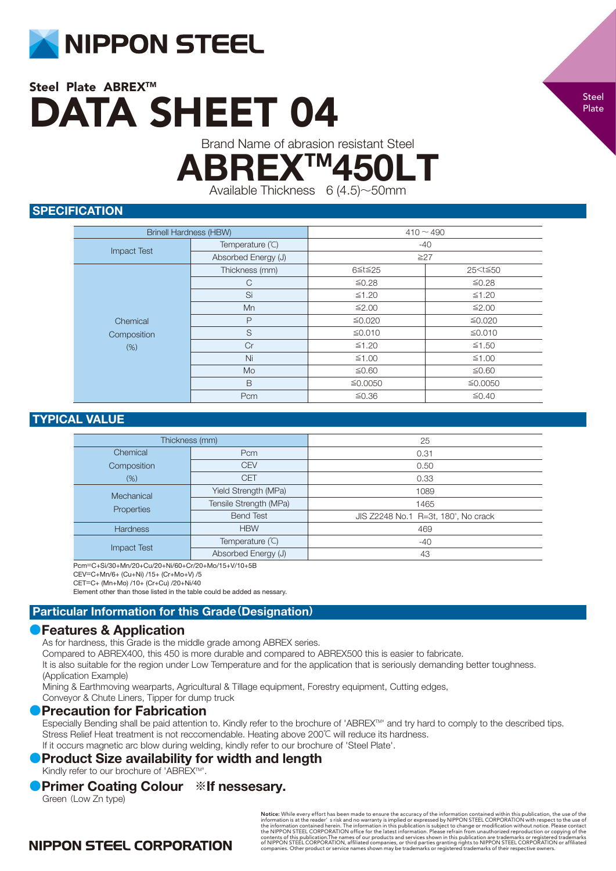

Brand Name of abrasion resistant Steel

**ABREX™450L** 

Available Thickness  $6(4.5) \sim 50$ mm

## **SPECIFICATION**

| <b>Brinell Hardness (HBW)</b> |                     | $410 - 490$ |                          |
|-------------------------------|---------------------|-------------|--------------------------|
|                               | Temperature (°C)    | $-40$       |                          |
| <b>Impact Test</b>            | Absorbed Energy (J) | $\geq$ 27   |                          |
|                               | Thickness (mm)      | 6≦t≦25      | 25 <t≦50< td=""></t≦50<> |
|                               | $\mathsf{C}$        | ≤0.28       | ≤0.28                    |
| Chemical<br>Composition       | Si                  | ≤1.20       | ≤1.20                    |
|                               | Mn                  | ≤2.00       | ≤2.00                    |
|                               | $\mathsf{P}$        | ≤0.020      | ≤0.020                   |
|                               | S                   | ≤0.010      | ≤0.010                   |
| (% )                          | Cr                  | $≤1.20$     | ≤1.50                    |
|                               | Ni                  | ≤1.00       | ≤1.00                    |
|                               | Mo                  | ≤0.60       | ≤0.60                    |
|                               | B                   | ≤0.0050     | ≦0.0050                  |
|                               | Pcm                 | ≤0.36       | ≤0.40                    |

## TYPICAL VALUE

| Thickness (mm)     |                        | 25                                  |
|--------------------|------------------------|-------------------------------------|
| Chemical           | Pcm                    | 0.31                                |
| Composition        | <b>CEV</b>             | 0.50                                |
| $(\%)$             | <b>CET</b>             | 0.33                                |
| Mechanical         | Yield Strength (MPa)   | 1089                                |
| Properties         | Tensile Strength (MPa) | 1465                                |
|                    | <b>Bend Test</b>       | JIS Z2248 No.1 R=3t, 180°, No crack |
| <b>Hardness</b>    | <b>HBW</b>             | 469                                 |
| <b>Impact Test</b> | Temperature (°C)       | $-40$                               |
|                    | Absorbed Energy (J)    | 43                                  |

Pcm=C+Si/30+Mn/20+Cu/20+Ni/60+Cr/20+Mo/15+V/10+5B

CEV=C+Mn/6+ (Cu+Ni) /15+ (Cr+Mo+V) /5

CET=C+ (Mn+Mo) /10+ (Cr+Cu) /20+Ni/40

Element other than those listed in the table could be added as nessary.

## Particular Information for this Grade**(**Designation**)**

## **●**Features & Application

As for hardness, this Grade is the middle grade among ABREX series.

Compared to ABREX400, this 450 is more durable and compared to ABREX500 this is easier to fabricate.

It is also suitable for the region under Low Temperature and for the application that is seriously demanding better toughness. (Application Example)

Mining & Earthmoving wearparts, Agricultural & Tillage equipment, Forestry equipment, Cutting edges,

Conveyor & Chute Liners, Tipper for dump truck

## **●**Precaution for Fabrication

Especially Bending shall be paid attention to. Kindly refer to the brochure of 'ABREX™' and try hard to comply to the described tips. Stress Relief Heat treatment is not reccomendable. Heating above 200℃ will reduce its hardness. If it occurs magnetic arc blow during welding, kindly refer to our brochure of 'Steel Plate'.

## **• Product Size availability for width and length**

Kindly refer to our brochure of 'ABREX™'.

## **●**Primer Coating Colour **※**If nessesary.

Green (Low Zn type)

**Notice:** While every effort has been made to ensure the accuracy of the information contained within this publication, the use of the information is at the reader' s risk and no warranty is implied or expressed by NIPPON

# **NIPPON STEEL CORPORATION**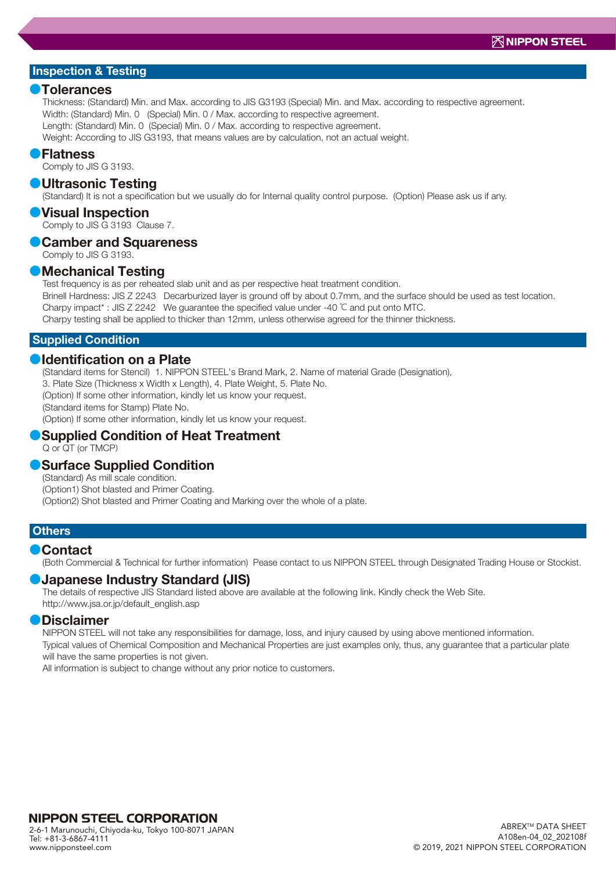#### **●**Tolerances

Thickness: (Standard) Min. and Max. according to JIS G3193 (Special) Min. and Max. according to respective agreement. Width: (Standard) Min. 0 (Special) Min. 0 / Max. according to respective agreement. Length: (Standard) Min. 0 (Special) Min. 0 / Max. according to respective agreement. Weight: According to JIS G3193, that means values are by calculation, not an actual weight.

#### **●**Flatness

Comply to JIS G 3193.

#### **●**Ultrasonic Testing

(Standard) It is not a specification but we usually do for Internal quality control purpose. (Option) Please ask us if any.

#### **●**Visual Inspection

Comply to JIS G 3193 Clause 7.

## **●**Camber and Squareness

Comply to JIS G 3193.

#### **●**Mechanical Testing

Test frequency is as per reheated slab unit and as per respective heat treatment condition. Brinell Hardness: JIS Z 2243 Decarburized layer is ground off by about 0.7mm, and the surface should be used as test location.

Charpy impact\* : JIS Z 2242 We guarantee the specified value under -40 ℃ and put onto MTC.

Charpy testing shall be applied to thicker than 12mm, unless otherwise agreed for the thinner thickness.

#### Supplied Condition

#### **●**Identification on a Plate

(Standard items for Stencil) 1. NIPPON STEEL's Brand Mark, 2. Name of material Grade (Designation),

3. Plate Size (Thickness x Width x Length), 4. Plate Weight, 5. Plate No.

(Option) If some other information, kindly let us know your request.

(Standard items for Stamp) Plate No.

(Option) If some other information, kindly let us know your request.

#### Q or QT (or TMCP) **●**Supplied Condition of Heat Treatment

#### **●**Surface Supplied Condition

(Standard) As mill scale condition. (Option1) Shot blasted and Primer Coating. (Option2) Shot blasted and Primer Coating and Marking over the whole of a plate.

#### **Others**

#### **●**Contact

(Both Commercial & Technical for further information) Pease contact to us NIPPON STEEL through Designated Trading House or Stockist.

#### **●**Japanese Industry Standard (JIS)

The details of respective JIS Standard listed above are available at the following link. Kindly check the Web Site. http://www.jsa.or.jp/default\_english.asp

#### **●**Disclaimer

NIPPON STEEL will not take any responsibilities for damage, loss, and injury caused by using above mentioned information. Typical values of Chemical Composition and Mechanical Properties are just examples only, thus, any guarantee that a particular plate will have the same properties is not given.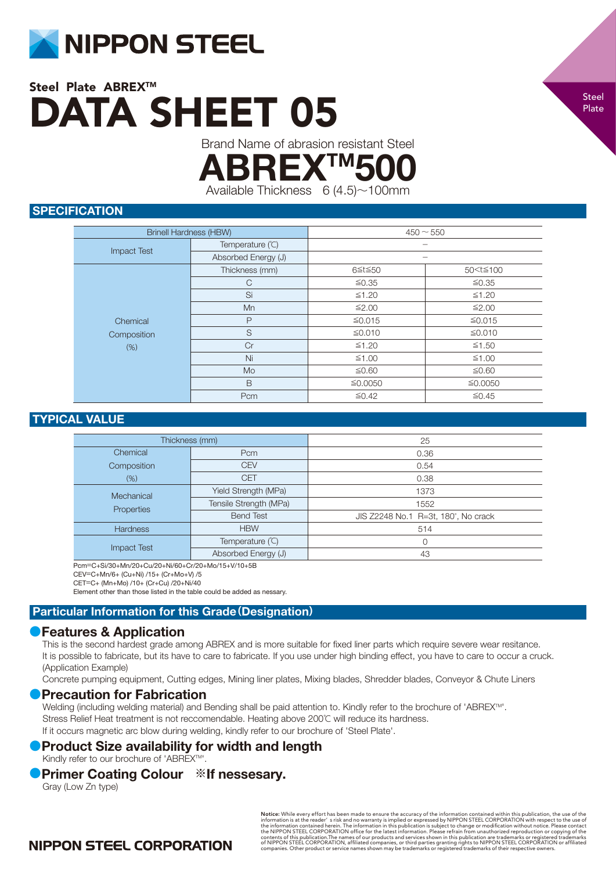

Brand Name of abrasion resistant Steel

**ABREXTM5** 

Available Thickness  $6(4.5) \sim 100$ mm

## **SPECIFICATION**

| <b>Brinell Hardness (HBW)</b> |                     | $450 - 550$ |                            |
|-------------------------------|---------------------|-------------|----------------------------|
| <b>Impact Test</b>            | Temperature (°C)    |             |                            |
|                               | Absorbed Energy (J) |             |                            |
|                               | Thickness (mm)      | 6≦t≦50      | 50 <t≦100< th=""></t≦100<> |
|                               | $\mathsf{C}$        | ≤0.35       | ≤0.35                      |
| Chemical<br>Composition       | Si                  | $\leq 1.20$ | ≤1.20                      |
|                               | Mn                  | ≤2.00       | ≤2.00                      |
|                               | P                   | ≤0.015      | ≤0.015                     |
|                               | S                   | ≤0.010      | ≤0.010                     |
| (% )                          | Cr                  | $≤1.20$     | ≤1.50                      |
|                               | Ni                  | ≤1.00       | $≤1.00$                    |
|                               | Mo                  | ≤0.60       | ≤0.60                      |
|                               | B                   | ≦0.0050     | ≦0.0050                    |
|                               | Pcm                 | ≤0.42       | ≤0.45                      |

## TYPICAL VALUE

| Thickness (mm)     |                        | 25                                  |
|--------------------|------------------------|-------------------------------------|
| Chemical           | Pcm                    | 0.36                                |
| Composition        | <b>CEV</b>             | 0.54                                |
| (% )               | <b>CET</b>             | 0.38                                |
| Mechanical         | Yield Strength (MPa)   | 1373                                |
|                    | Tensile Strength (MPa) | 1552                                |
| Properties         | <b>Bend Test</b>       | JIS Z2248 No.1 R=3t, 180°, No crack |
| <b>Hardness</b>    | <b>HBW</b>             | 514                                 |
| <b>Impact Test</b> | Temperature (°C)       | 0                                   |
|                    | Absorbed Energy (J)    | 43                                  |

Pcm=C+Si/30+Mn/20+Cu/20+Ni/60+Cr/20+Mo/15+V/10+5B

CEV=C+Mn/6+ (Cu+Ni) /15+ (Cr+Mo+V) /5

CET=C+ (Mn+Mo) /10+ (Cr+Cu) /20+Ni/40

Element other than those listed in the table could be added as nessary.

## Particular Information for this Grade**(**Designation**)**

## **●**Features & Application

This is the second hardest grade among ABREX and is more suitable for fixed liner parts which require severe wear resitance. It is possible to fabricate, but its have to care to fabricate. If you use under high binding effect, you have to care to occur a cruck. (Application Example)

Concrete pumping equipment, Cutting edges, Mining liner plates, Mixing blades, Shredder blades, Conveyor & Chute Liners

## **Precaution for Fabrication**

Welding (including welding material) and Bending shall be paid attention to. Kindly refer to the brochure of 'ABREX™'. Stress Relief Heat treatment is not reccomendable. Heating above 200℃ will reduce its hardness. If it occurs magnetic arc blow during welding, kindly refer to our brochure of 'Steel Plate'.

# **●**Product Size availability for width and length

Kindly refer to our brochure of 'ABREX™'.

## **●**Primer Coating Colour **※**If nessesary.

Gray (Low Zn type)

**Notice:** While every effort has been made to ensure the accuracy of the information contained within this publication, the use of the original information is at the reader' s risk and no warranty is implied or expressed b

# **NIPPON STEEL CORPORATION**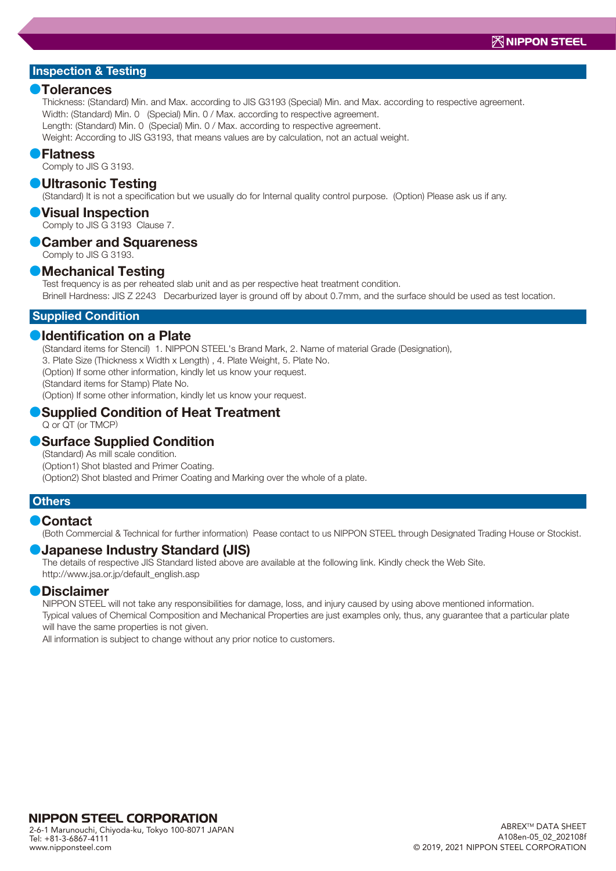#### **●**Tolerances

Thickness: (Standard) Min. and Max. according to JIS G3193 (Special) Min. and Max. according to respective agreement. Width: (Standard) Min. 0 (Special) Min. 0 / Max. according to respective agreement. Length: (Standard) Min. 0 (Special) Min. 0 / Max. according to respective agreement. Weight: According to JIS G3193, that means values are by calculation, not an actual weight.

#### **●**Flatness

Comply to JIS G 3193.

#### **●**Ultrasonic Testing

(Standard) It is not a specification but we usually do for Internal quality control purpose. (Option) Please ask us if any.

#### **●**Visual Inspection

Comply to JIS G 3193 Clause 7.

## **●**Camber and Squareness

Comply to JIS G 3193.

#### **●**Mechanical Testing

Test frequency is as per reheated slab unit and as per respective heat treatment condition. Brinell Hardness: JIS Z 2243 Decarburized layer is ground off by about 0.7mm, and the surface should be used as test location.

#### Supplied Condition

#### **●**Identification on a Plate

(Standard items for Stencil) 1. NIPPON STEEL's Brand Mark, 2. Name of material Grade (Designation),

3. Plate Size (Thickness x Width x Length) , 4. Plate Weight, 5. Plate No.

(Option) If some other information, kindly let us know your request.

(Standard items for Stamp) Plate No.

(Option) If some other information, kindly let us know your request.

## **●**Supplied Condition of Heat Treatment

Q or QT (or TMCP)

#### **●**Surface Supplied Condition

(Standard) As mill scale condition. (Option1) Shot blasted and Primer Coating. (Option2) Shot blasted and Primer Coating and Marking over the whole of a plate.

#### **Others**

#### **●**Contact

(Both Commercial & Technical for further information) Pease contact to us NIPPON STEEL through Designated Trading House or Stockist.

#### **●**Japanese Industry Standard (JIS)

The details of respective JIS Standard listed above are available at the following link. Kindly check the Web Site. http://www.jsa.or.jp/default\_english.asp

#### **●**Disclaimer

NIPPON STEEL will not take any responsibilities for damage, loss, and injury caused by using above mentioned information. Typical values of Chemical Composition and Mechanical Properties are just examples only, thus, any guarantee that a particular plate

will have the same properties is not given.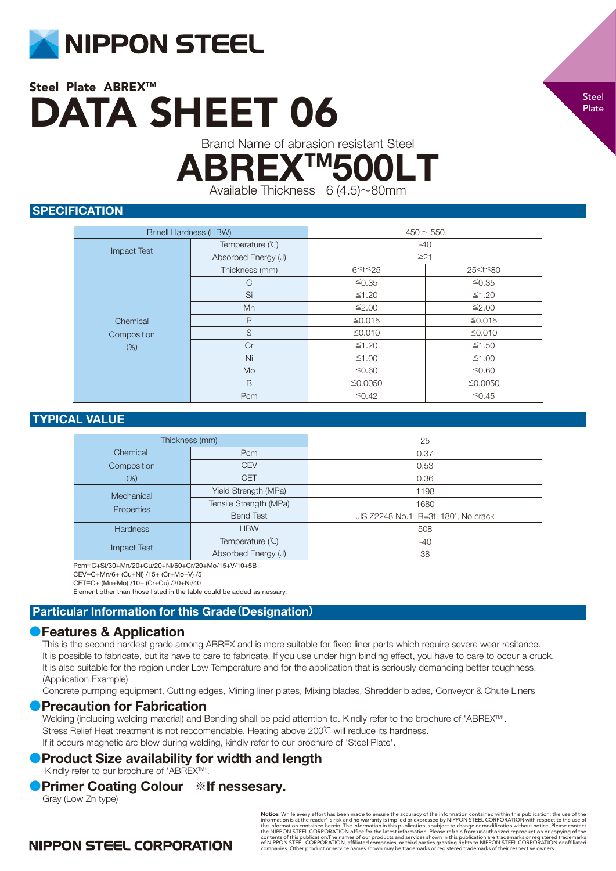

Brand Name of abrasion resistant Steel

**ABREX™500L** 

Available Thickness 6 (4.5)~80mm

## **SPECIFICATION**

| <b>Brinell Hardness (HBW)</b> |                     | $450 - 550$ |                          |
|-------------------------------|---------------------|-------------|--------------------------|
|                               | Temperature (°C)    | $-40$       |                          |
| <b>Impact Test</b>            | Absorbed Energy (J) | $\geq 21$   |                          |
|                               | Thickness (mm)      | 6≦t≦25      | 25 <t≦80< td=""></t≦80<> |
|                               | $\mathsf{C}$        | ≤0.35       | ≤0.35                    |
| Chemical<br>Composition       | Si                  | ≤1.20       | ≤1.20                    |
|                               | Mn                  | ≤2.00       | ≤2.00                    |
|                               | $\mathsf{P}$        | ≤0.015      | ≤0.015                   |
|                               | S                   | ≤0.010      | ≤0.010                   |
| (% )                          | Cr                  | $≤1.20$     | ≤1.50                    |
|                               | Ni                  | $≤1.00$     | $≤1.00$                  |
|                               | Mo                  | ≤0.60       | ≤0.60                    |
|                               | B                   | ≤0.0050     | ≦0.0050                  |
|                               | Pcm                 | ≤0.42       | $≤ 0.45$                 |

## TYPICAL VALUE

| Thickness (mm)     |                        | 25                                  |
|--------------------|------------------------|-------------------------------------|
| Chemical           | Pcm                    | 0.37                                |
| Composition        | <b>CEV</b>             | 0.53                                |
| (% )               | <b>CET</b>             | 0.36                                |
| Mechanical         | Yield Strength (MPa)   | 1198                                |
| Properties         | Tensile Strength (MPa) | 1680                                |
|                    | <b>Bend Test</b>       | JIS Z2248 No.1 R=3t, 180°, No crack |
| <b>Hardness</b>    | <b>HBW</b>             | 508                                 |
| <b>Impact Test</b> | Temperature (°C)       | $-40$                               |
|                    | Absorbed Energy (J)    | 38                                  |

Pcm=C+Si/30+Mn/20+Cu/20+Ni/60+Cr/20+Mo/15+V/10+5B

CEV=C+Mn/6+ (Cu+Ni) /15+ (Cr+Mo+V) /5

CET=C+ (Mn+Mo) /10+ (Cr+Cu) /20+Ni/40

Element other than those listed in the table could be added as nessary.

## Particular Information for this Grade**(**Designation**)**

## **●**Features & Application

This is the second hardest grade among ABREX and is more suitable for fixed liner parts which require severe wear resitance. It is possible to fabricate, but its have to care to fabricate. If you use under high binding effect, you have to care to occur a cruck. It is also suitable for the region under Low Temperature and for the application that is seriously demanding better toughness. (Application Example)

Concrete pumping equipment, Cutting edges, Mining liner plates, Mixing blades, Shredder blades, Conveyor & Chute Liners

#### **Precaution for Fabrication**

Welding (including welding material) and Bending shall be paid attention to. Kindly refer to the brochure of 'ABREX™. Stress Relief Heat treatment is not reccomendable. Heating above 200℃ will reduce its hardness. If it occurs magnetic arc blow during welding, kindly refer to our brochure of 'Steel Plate'.

## **Product Size availability for width and length**

Kindly refer to our brochure of 'ABREX™'.

## **●**Primer Coating Colour **※**If nessesary.

Gray (Low Zn type)

**Notice:** While every effort has been made to ensure the accuracy of the information contained within this publication, the use of the information is at the reader' s risk and no warranty is implied or expressed by NIPPON

# **NIPPON STEEL CORPORATION**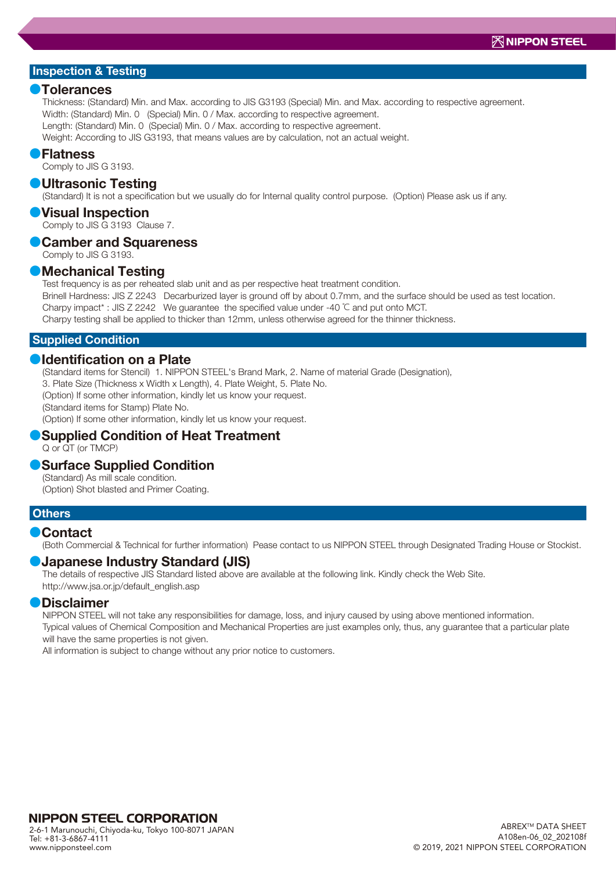#### **●**Tolerances

Thickness: (Standard) Min. and Max. according to JIS G3193 (Special) Min. and Max. according to respective agreement. Width: (Standard) Min. 0 (Special) Min. 0 / Max. according to respective agreement. Length: (Standard) Min. 0 (Special) Min. 0 / Max. according to respective agreement. Weight: According to JIS G3193, that means values are by calculation, not an actual weight.

#### **●**Flatness

Comply to JIS G 3193.

#### **●**Ultrasonic Testing

(Standard) It is not a specification but we usually do for Internal quality control purpose. (Option) Please ask us if any.

#### **●**Visual Inspection

Comply to JIS G 3193 Clause 7.

## **●**Camber and Squareness

Comply to JIS G 3193.

#### **●**Mechanical Testing

Test frequency is as per reheated slab unit and as per respective heat treatment condition. Brinell Hardness: JIS Z 2243 Decarburized layer is ground off by about 0.7mm, and the surface should be used as test location. Charpy impact\* : JIS Z 2242 We guarantee the specified value under -40 ℃ and put onto MCT.

Charpy testing shall be applied to thicker than 12mm, unless otherwise agreed for the thinner thickness.

#### Supplied Condition

### **●**Identification on a Plate

(Standard items for Stencil) 1. NIPPON STEEL's Brand Mark, 2. Name of material Grade (Designation),

3. Plate Size (Thickness x Width x Length), 4. Plate Weight, 5. Plate No.

(Option) If some other information, kindly let us know your request.

(Standard items for Stamp) Plate No.

(Option) If some other information, kindly let us know your request.

#### Q or QT (or TMCP) **●**Supplied Condition of Heat Treatment

## **●**Surface Supplied Condition

(Standard) As mill scale condition. (Option) Shot blasted and Primer Coating.

#### **Others**

#### **●**Contact

(Both Commercial & Technical for further information) Pease contact to us NIPPON STEEL through Designated Trading House or Stockist.

#### **●**Japanese Industry Standard (JIS)

The details of respective JIS Standard listed above are available at the following link. Kindly check the Web Site. http://www.jsa.or.jp/default\_english.asp

#### **●**Disclaimer

NIPPON STEEL will not take any responsibilities for damage, loss, and injury caused by using above mentioned information. Typical values of Chemical Composition and Mechanical Properties are just examples only, thus, any guarantee that a particular plate will have the same properties is not given.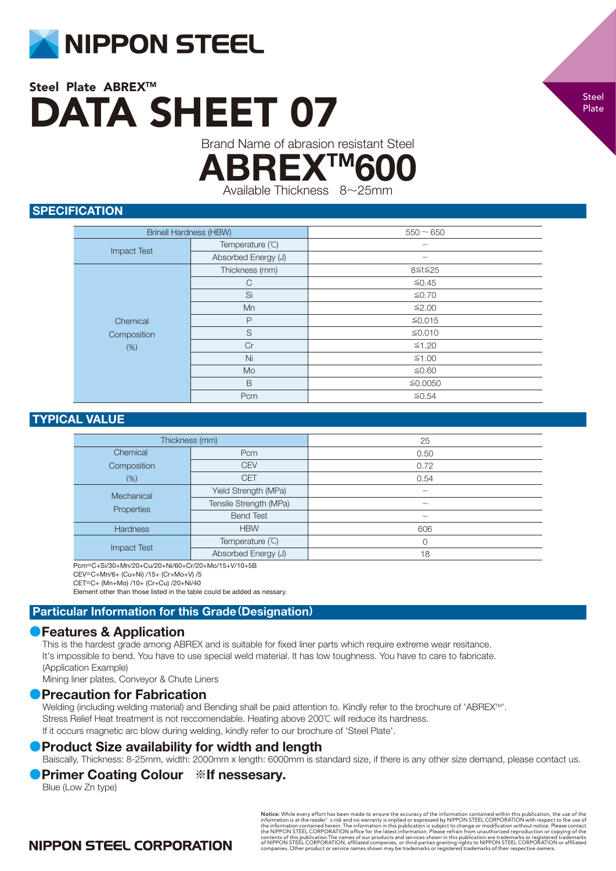

Brand Name of abrasion resistant Steel

ABREX

Available Thickness 8~25mm

## **SPECIFICATION**

| <b>Brinell Hardness (HBW)</b>  |                     | $550 - 650$ |
|--------------------------------|---------------------|-------------|
| <b>Impact Test</b>             | Temperature (°C)    |             |
|                                | Absorbed Energy (J) |             |
| Chemical<br>Composition<br>(%) | Thickness (mm)      | 8≦t≦25      |
|                                | $\mathsf{C}$        | ≤0.45       |
|                                | Si                  | $≤0.70$     |
|                                | Mn                  | ≤2.00       |
|                                | P                   | ≤0.015      |
|                                | S                   | ≤0.010      |
|                                | Cr                  | $≤1.20$     |
|                                | Ni                  | $≤1.00$     |
|                                | Mo                  | ≤0.60       |
|                                | B                   | ≤0.0050     |
|                                | Pcm                 | $≤ 0.54$    |

## TYPICAL VALUE

| Thickness (mm)           |                        | 25   |
|--------------------------|------------------------|------|
| Chemical                 | Pcm                    | 0.50 |
| Composition              | <b>CEV</b>             | 0.72 |
| $(\%)$                   | <b>CET</b>             | 0.54 |
| Mechanical<br>Properties | Yield Strength (MPa)   |      |
|                          | Tensile Strength (MPa) |      |
|                          | <b>Bend Test</b>       |      |
| <b>Hardness</b>          | <b>HBW</b>             | 606  |
| <b>Impact Test</b>       | Temperature (°C)       | 0    |
|                          | Absorbed Energy (J)    | 18   |

Pcm=C+Si/30+Mn/20+Cu/20+Ni/60+Cr/20+Mo/15+V/10+5B

CEV=C+Mn/6+ (Cu+Ni) /15+ (Cr+Mo+V) /5

CET=C+ (Mn+Mo) /10+ (Cr+Cu) /20+Ni/40

Element other than those listed in the table could be added as nessary.

## Particular Information for this Grade**(**Designation**)**

## **●**Features & Application

This is the hardest grade among ABREX and is suitable for fixed liner parts which require extreme wear resitance. It's impossible to bend. You have to use special weld material. It has low toughness. You have to care to fabricate. (Application Example)

Mining liner plates, Conveyor & Chute Liners

## **●**Precaution for Fabrication

Welding (including welding material) and Bending shall be paid attention to. Kindly refer to the brochure of 'ABREX™'. Stress Relief Heat treatment is not reccomendable. Heating above 200℃ will reduce its hardness. If it occurs magnetic arc blow during welding, kindly refer to our brochure of 'Steel Plate'.

## **• Product Size availability for width and length**

Baiscally, Thickness: 8-25mm, width: 2000mm x length: 6000mm is standard size, if there is any other size demand, please contact us. **●**Primer Coating Colour **※**If nessesary.

#### Blue (Low Zn type)

**Notice:** While every effort has been made to ensure the accuracy of the information contained within this publication, the use of the information is at the reader' s risk and no warranty is implied or expressed by NIPPON

# **NIPPON STEEL CORPORATION**